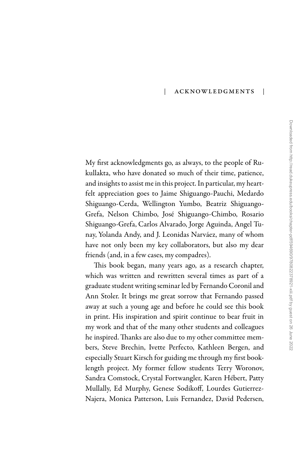## | Acknowledgments |

My first acknowledgments go, as always, to the people of Rukullakta, who have donated so much of their time, patience, and insights to assist me in this project. In particular, my heartfelt appreciation goes to Jaime Shiguango-Pauchi, Medardo Shiguango-Cerda, Wellington Yumbo, Beatriz Shiguango-Grefa, Nelson Chimbo, José Shiguango-Chimbo, Rosario Shiguango-Grefa, Carlos Alvarado, Jorge Aguinda, Angel Tunay, Yolanda Andy, and J. Leonidas Narváez, many of whom have not only been my key collaborators, but also my dear friends (and, in a few cases, my compadres).

This book began, many years ago, as a research chapter, which was written and rewritten several times as part of a graduate student writing seminar led by Fernando Coronil and Ann Stoler. It brings me great sorrow that Fernando passed away at such a young age and before he could see this book in print. His inspiration and spirit continue to bear fruit in my work and that of the many other students and colleagues he inspired. Thanks are also due to my other committee members, Steve Brechin, Ivette Perfecto, Kathleen Bergen, and especially Stuart Kirsch for guiding me through my first booklength project. My former fellow students Terry Woronov, Sandra Comstock, Crystal Fortwangler, Karen Hébert, Patty Mullally, Ed Murphy, Genese Sodikoff, Lourdes Gutierrez-Najera, Monica Patterson, Luis Fernandez, David Pedersen,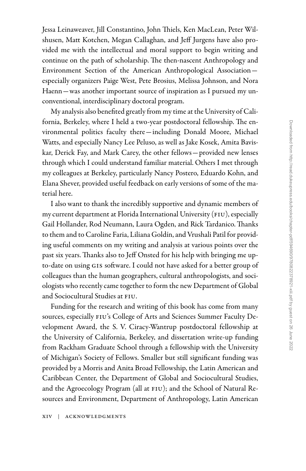Jessa Leinaweaver, Jill Constantino, John Thiels, Ken MacLean, Peter Wilshusen, Matt Kotchen, Megan Callaghan, and Jeff Jurgens have also provided me with the intellectual and moral support to begin writing and continue on the path of scholarship. The then-nascent Anthropology and Environment Section of the American Anthropological Association especially organizers Paige West, Pete Brosius, Melissa Johnson, and Nora Haenn—was another important source of inspiration as I pursued my unconventional, interdisciplinary doctoral program.

My analysis also benefited greatly from my time at the University of California, Berkeley, where I held a two-year postdoctoral fellowship. The environmental politics faculty there—including Donald Moore, Michael Watts, and especially Nancy Lee Peluso, as well as Jake Kosek, Amita Baviskar, Derick Fay, and Mark Carey, the other fellows—provided new lenses through which I could understand familiar material. Others I met through my colleagues at Berkeley, particularly Nancy Postero, Eduardo Kohn, and Elana Shever, provided useful feedback on early versions of some of the material here.

I also want to thank the incredibly supportive and dynamic members of my current department at Florida International University (FIU), especially Gail Hollander, Rod Neumann, Laura Ogden, and Rick Tardanico. Thanks to them and to Caroline Faria, Liliana Goldín, and Vrushali Patil for providing useful comments on my writing and analysis at various points over the past six years. Thanks also to Jeff Onsted for his help with bringing me upto-date on using gis software. I could not have asked for a better group of colleagues than the human geographers, cultural anthropologists, and sociologists who recently came together to form the new Department of Global and Sociocultural Studies at FIU.

Funding for the research and writing of this book has come from many sources, especially FIU's College of Arts and Sciences Summer Faculty Development Award, the S. V. Ciracy-Wantrup postdoctoral fellowship at the University of California, Berkeley, and dissertation write-up funding from Rackham Graduate School through a fellowship with the University of Michigan's Society of Fellows. Smaller but still significant funding was provided by a Morris and Anita Broad Fellowship, the Latin American and Caribbean Center, the Department of Global and Sociocultural Studies, and the Agroecology Program (all at FIU); and the School of Natural Resources and Environment, Department of Anthropology, Latin American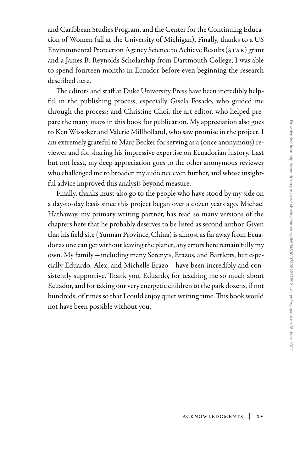and Caribbean Studies Program, and the Center for the Continuing Education of Women (all at the University of Michigan). Finally, thanks to a US Environmental Protection Agency Science to Achieve Results (STAR) grant and a James B. Reynolds Scholarship from Dartmouth College, I was able to spend fourteen months in Ecuador before even beginning the research described here.

The editors and staff at Duke University Press have been incredibly helpful in the publishing process, especially Gisela Fosado, who guided me through the process; and Christine Choi, the art editor, who helped prepare the many maps in this book for publication. My appreciation also goes to Ken Wissoker and Valerie Millholland, who saw promise in the project. I am extremely grateful to Marc Becker for serving as a (once anonymous) reviewer and for sharing his impressive expertise on Ecuadorian history. Last but not least, my deep appreciation goes to the other anonymous reviewer who challenged me to broaden my audience even further, and whose insightful advice improved this analysis beyond measure.

Finally, thanks must also go to the people who have stood by my side on a day-to-day basis since this project began over a dozen years ago. Michael Hathaway, my primary writing partner, has read so many versions of the chapters here that he probably deserves to be listed as second author. Given that his field site (Yunnan Province, China) is almost as far away from Ecuador as one can get without leaving the planet, any errors here remain fully my own. My family—including many Serenyis, Erazos, and Bartletts, but especially Eduardo, Alex, and Michelle Erazo—have been incredibly and consistently supportive. Thank you, Eduardo, for teaching me so much about Ecuador, and for taking our very energetic children to the park dozens, if not hundreds, of times so that I could enjoy quiet writing time. This book would not have been possible without you.